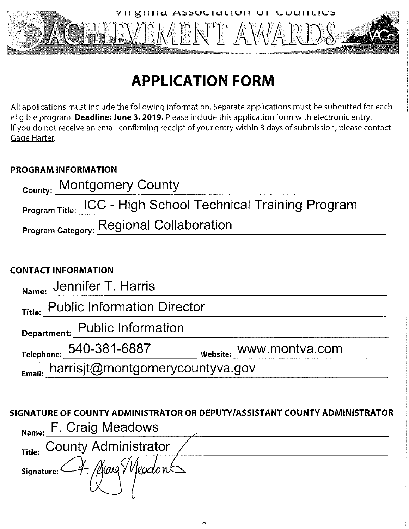

# **APPLICATION FORM**

All applications must include the following information. Separate applications must be submitted for each eligible program. Deadline: June 3, 2019. Please include this application form with electronic entry. If you do not receive an email confirming receipt of your entry within 3 days of submission, please contact Gage Harter.

## **PROGRAM INFORMATION**

| <sub>County:</sub> Montgomery County                               |
|--------------------------------------------------------------------|
| <b>Program Title:</b> ICC - High School Technical Training Program |
| <b>Program Category: Regional Collaboration</b>                    |

## **CONTACT INFORMATION**

| Name: Jennifer T. Harris                           |
|----------------------------------------------------|
| Title: Public Information Director                 |
| Department: Public Information                     |
| Telephone: 540-381-6887<br>Website: WWW.montva.com |
| Email: harrisjt@montgomerycountyva.gov             |

| SIGNATURE OF COUNTY ADMINISTRATOR OR DEPUTY/ASSISTANT COUNTY ADMINISTRATOR |
|----------------------------------------------------------------------------|
| Name: F. Craig Meadows                                                     |
| Title: County Administrator                                                |
| Blaig Meadon<br>Signature:                                                 |
|                                                                            |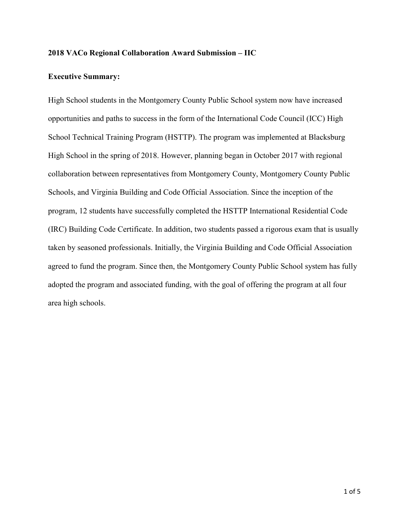#### **2018 VACo Regional Collaboration Award Submission – IIC**

#### **Executive Summary:**

High School students in the Montgomery County Public School system now have increased opportunities and paths to success in the form of the International Code Council (ICC) High School Technical Training Program (HSTTP). The program was implemented at Blacksburg High School in the spring of 2018. However, planning began in October 2017 with regional collaboration between representatives from Montgomery County, Montgomery County Public Schools, and Virginia Building and Code Official Association. Since the inception of the program, 12 students have successfully completed the HSTTP International Residential Code (IRC) Building Code Certificate. In addition, two students passed a rigorous exam that is usually taken by seasoned professionals. Initially, the Virginia Building and Code Official Association agreed to fund the program. Since then, the Montgomery County Public School system has fully adopted the program and associated funding, with the goal of offering the program at all four area high schools.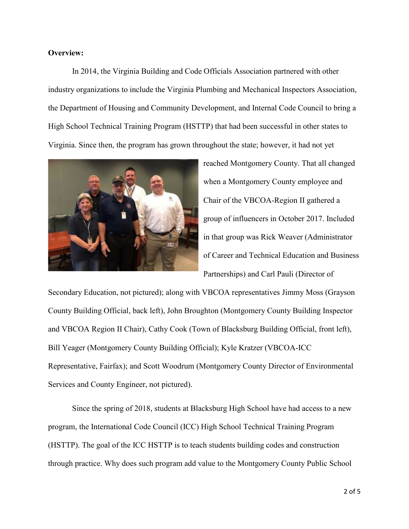### **Overview:**

In 2014, the Virginia Building and Code Officials Association partnered with other industry organizations to include the Virginia Plumbing and Mechanical Inspectors Association, the Department of Housing and Community Development, and Internal Code Council to bring a High School Technical Training Program (HSTTP) that had been successful in other states to Virginia. Since then, the program has grown throughout the state; however, it had not yet



reached Montgomery County. That all changed when a Montgomery County employee and Chair of the VBCOA-Region II gathered a group of influencers in October 2017. Included in that group was Rick Weaver (Administrator of Career and Technical Education and Business Partnerships) and Carl Pauli (Director of

Secondary Education, not pictured); along with VBCOA representatives Jimmy Moss (Grayson County Building Official, back left), John Broughton (Montgomery County Building Inspector and VBCOA Region II Chair), Cathy Cook (Town of Blacksburg Building Official, front left), Bill Yeager (Montgomery County Building Official); Kyle Kratzer (VBCOA‐ICC Representative, Fairfax); and Scott Woodrum (Montgomery County Director of Environmental Services and County Engineer, not pictured).

Since the spring of 2018, students at Blacksburg High School have had access to a new program, the International Code Council (ICC) High School Technical Training Program (HSTTP). The goal of the ICC HSTTP is to teach students building codes and construction through practice. Why does such program add value to the Montgomery County Public School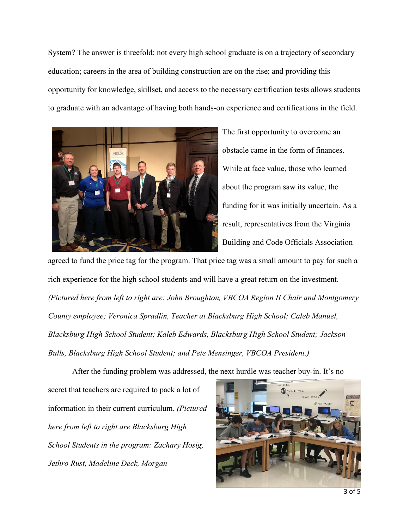System? The answer is threefold: not every high school graduate is on a trajectory of secondary education; careers in the area of building construction are on the rise; and providing this opportunity for knowledge, skillset, and access to the necessary certification tests allows students to graduate with an advantage of having both hands-on experience and certifications in the field.



The first opportunity to overcome an obstacle came in the form of finances. While at face value, those who learned about the program saw its value, the funding for it was initially uncertain. As a result, representatives from the Virginia Building and Code Officials Association

agreed to fund the price tag for the program. That price tag was a small amount to pay for such a rich experience for the high school students and will have a great return on the investment. *(Pictured here from left to right are: John Broughton, VBCOA Region II Chair and Montgomery County employee; Veronica Spradlin, Teacher at Blacksburg High School; Caleb Manuel, Blacksburg High School Student; Kaleb Edwards, Blacksburg High School Student; Jackson Bulls, Blacksburg High School Student; and Pete Mensinger, VBCOA President.)*

After the funding problem was addressed, the next hurdle was teacher buy-in. It's no

secret that teachers are required to pack a lot of information in their current curriculum. *(Pictured here from left to right are Blacksburg High School Students in the program: Zachary Hosig, Jethro Rust, Madeline Deck, Morgan* 

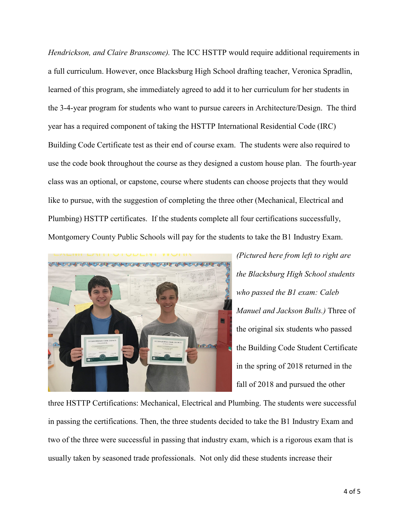*Hendrickson, and Claire Branscome).* The ICC HSTTP would require additional requirements in a full curriculum. However, once Blacksburg High School drafting teacher, Veronica Spradlin, learned of this program, she immediately agreed to add it to her curriculum for her students in the 3-4-year program for students who want to pursue careers in Architecture/Design. The third year has a required component of taking the HSTTP International Residential Code (IRC) Building Code Certificate test as their end of course exam. The students were also required to use the code book throughout the course as they designed a custom house plan. The fourth-year class was an optional, or capstone, course where students can choose projects that they would like to pursue, with the suggestion of completing the three other (Mechanical, Electrical and Plumbing) HSTTP certificates. If the students complete all four certifications successfully, Montgomery County Public Schools will pay for the students to take the B1 Industry Exam.



*(Pictured here from left to right are the Blacksburg High School students who passed the B1 exam: Caleb Manuel and Jackson Bulls.)* Three of the original six students who passed the Building Code Student Certificate in the spring of 2018 returned in the fall of 2018 and pursued the other

three HSTTP Certifications: Mechanical, Electrical and Plumbing. The students were successful in passing the certifications. Then, the three students decided to take the B1 Industry Exam and two of the three were successful in passing that industry exam, which is a rigorous exam that is usually taken by seasoned trade professionals. Not only did these students increase their